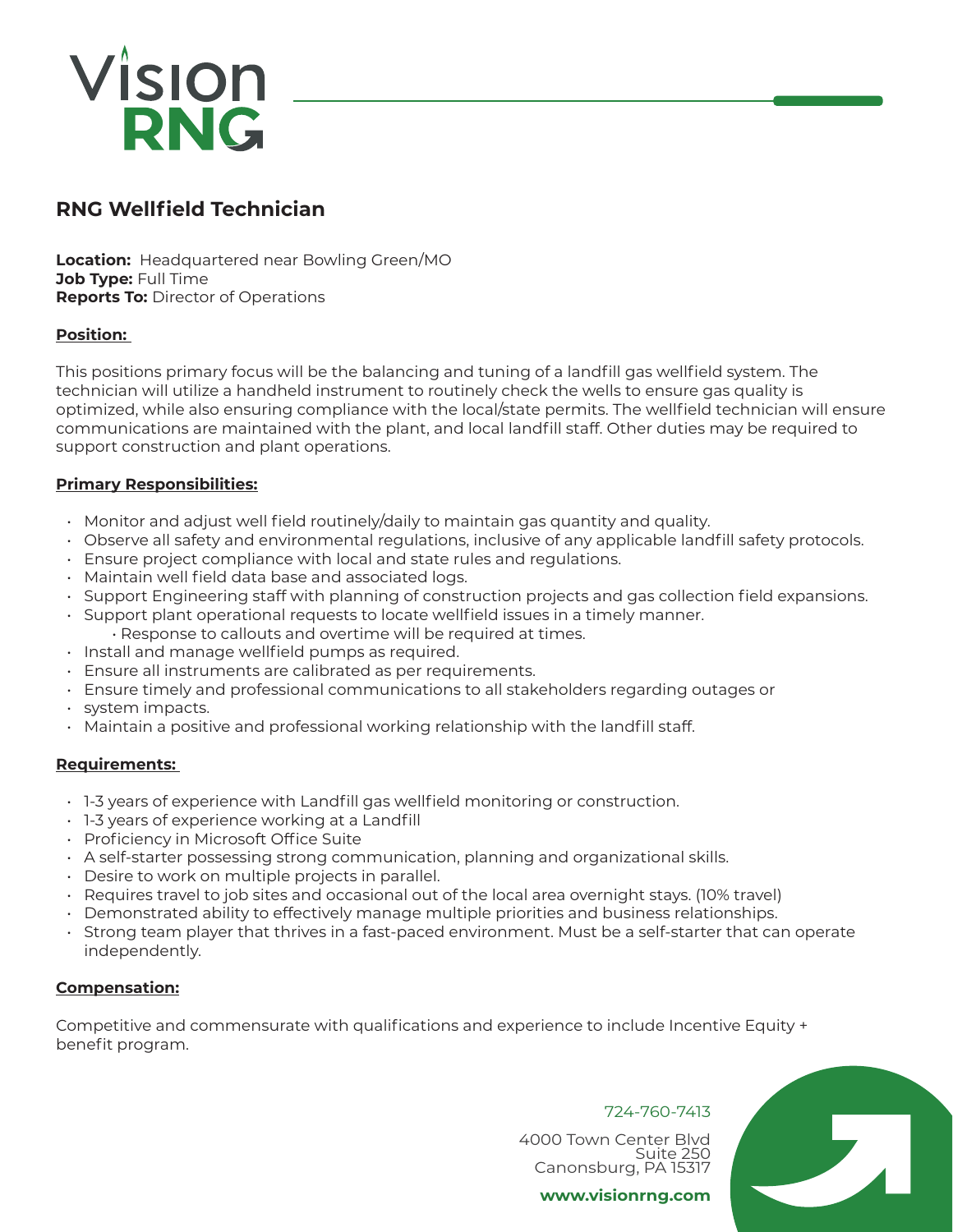# Vision **RNG**

# **RNG Wellfield Technician**

**Location:** Headquartered near Bowling Green/MO **Job Type:** Full Time **Reports To:** Director of Operations

# **Position:**

This positions primary focus will be the balancing and tuning of a landfill gas wellfield system. The technician will utilize a handheld instrument to routinely check the wells to ensure gas quality is optimized, while also ensuring compliance with the local/state permits. The wellfield technician will ensure communications are maintained with the plant, and local landfill staff. Other duties may be required to support construction and plant operations.

# **Primary Responsibilities:**

- Monitor and adjust well field routinely/daily to maintain gas quantity and quality.
- Observe all safety and environmental regulations, inclusive of any applicable landfill safety protocols.
- Ensure project compliance with local and state rules and regulations.
- Maintain well field data base and associated logs.
- Support Engineering staff with planning of construction projects and gas collection field expansions.
- Support plant operational requests to locate wellfield issues in a timely manner.
- Response to callouts and overtime will be required at times.
- Install and manage wellfield pumps as required.
- Ensure all instruments are calibrated as per requirements.
- Ensure timely and professional communications to all stakeholders regarding outages or
- system impacts.
- Maintain a positive and professional working relationship with the landfill staff.

# **Requirements:**

- 1-3 years of experience with Landfill gas wellfield monitoring or construction.
- 1-3 years of experience working at a Landfill
- Proficiency in Microsoft Office Suite
- A self-starter possessing strong communication, planning and organizational skills.
- Desire to work on multiple projects in parallel.
- Requires travel to job sites and occasional out of the local area overnight stays. (10% travel)
- Demonstrated ability to effectively manage multiple priorities and business relationships.
- Strong team player that thrives in a fast-paced environment. Must be a self-starter that can operate independently.

# **Compensation:**

Competitive and commensurate with qualifications and experience to include Incentive Equity + benefit program.

# 724-760-7413

 $\mathbf{L}_{\mathbf{A}}$ 

4000 Town Center Blvd Suite 250 Canonsburg, PA 15317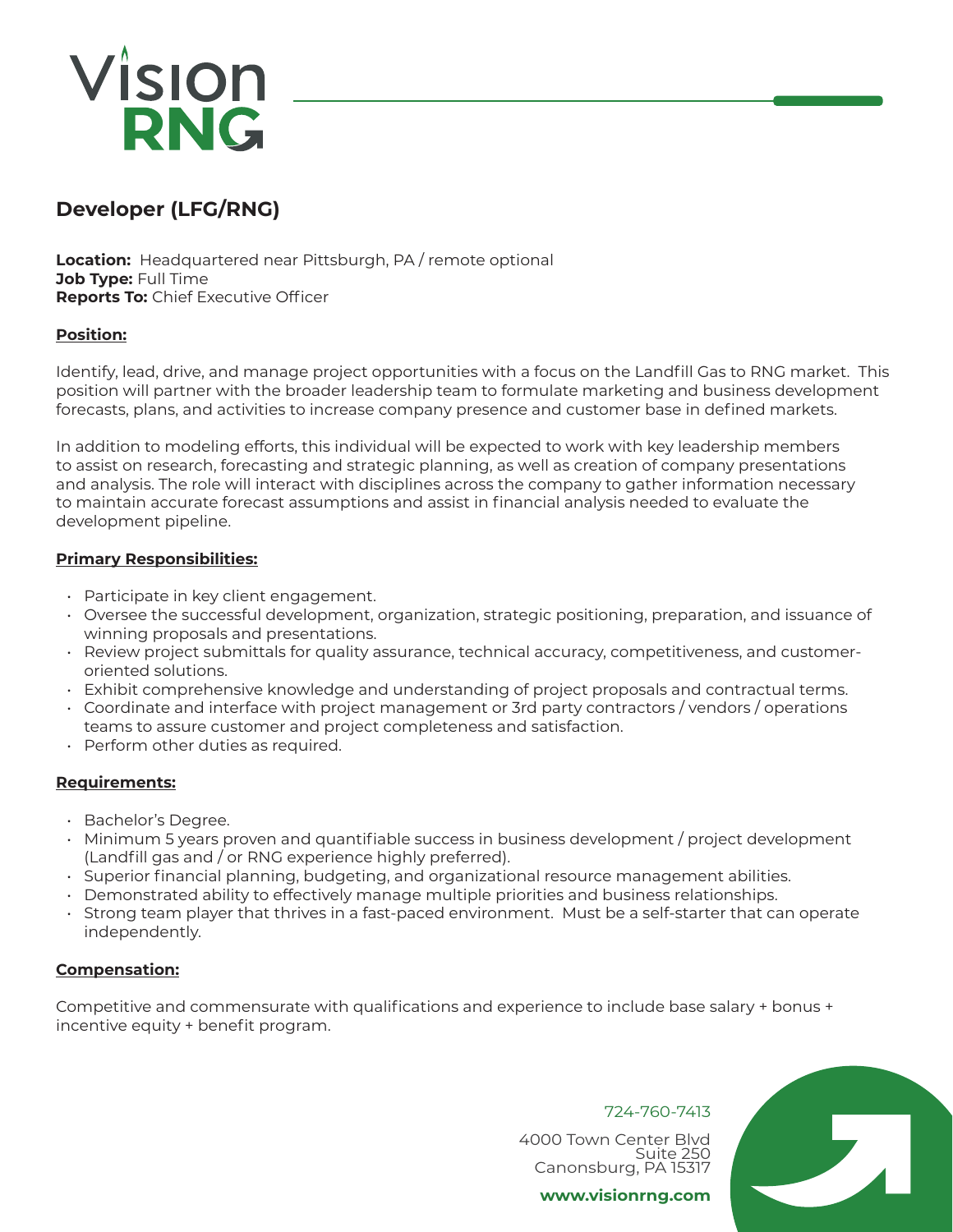# **Vision<br>RNG**

# **Developer (LFG/RNG)**

**Location:** Headquartered near Pittsburgh, PA / remote optional **Job Type:** Full Time **Reports To:** Chief Executive Officer

# **Position:**

Identify, lead, drive, and manage project opportunities with a focus on the Landfill Gas to RNG market. This position will partner with the broader leadership team to formulate marketing and business development forecasts, plans, and activities to increase company presence and customer base in defined markets.

In addition to modeling efforts, this individual will be expected to work with key leadership members to assist on research, forecasting and strategic planning, as well as creation of company presentations and analysis. The role will interact with disciplines across the company to gather information necessary to maintain accurate forecast assumptions and assist in financial analysis needed to evaluate the development pipeline.

# **Primary Responsibilities:**

- Participate in key client engagement.
- Oversee the successful development, organization, strategic positioning, preparation, and issuance of winning proposals and presentations.
- Review project submittals for quality assurance, technical accuracy, competitiveness, and customeroriented solutions.
- Exhibit comprehensive knowledge and understanding of project proposals and contractual terms.
- Coordinate and interface with project management or 3rd party contractors / vendors / operations teams to assure customer and project completeness and satisfaction.
- Perform other duties as required.

# **Requirements:**

- Bachelor's Degree.
- Minimum 5 years proven and quantifiable success in business development / project development (Landfill gas and / or RNG experience highly preferred).
- Superior financial planning, budgeting, and organizational resource management abilities.
- Demonstrated ability to effectively manage multiple priorities and business relationships.
- Strong team player that thrives in a fast-paced environment. Must be a self-starter that can operate independently.

# **Compensation:**

Competitive and commensurate with qualifications and experience to include base salary + bonus + incentive equity + benefit program.

724-760-7413

4000 Town Center Blvd Suite 250 Canonsburg, PA 15317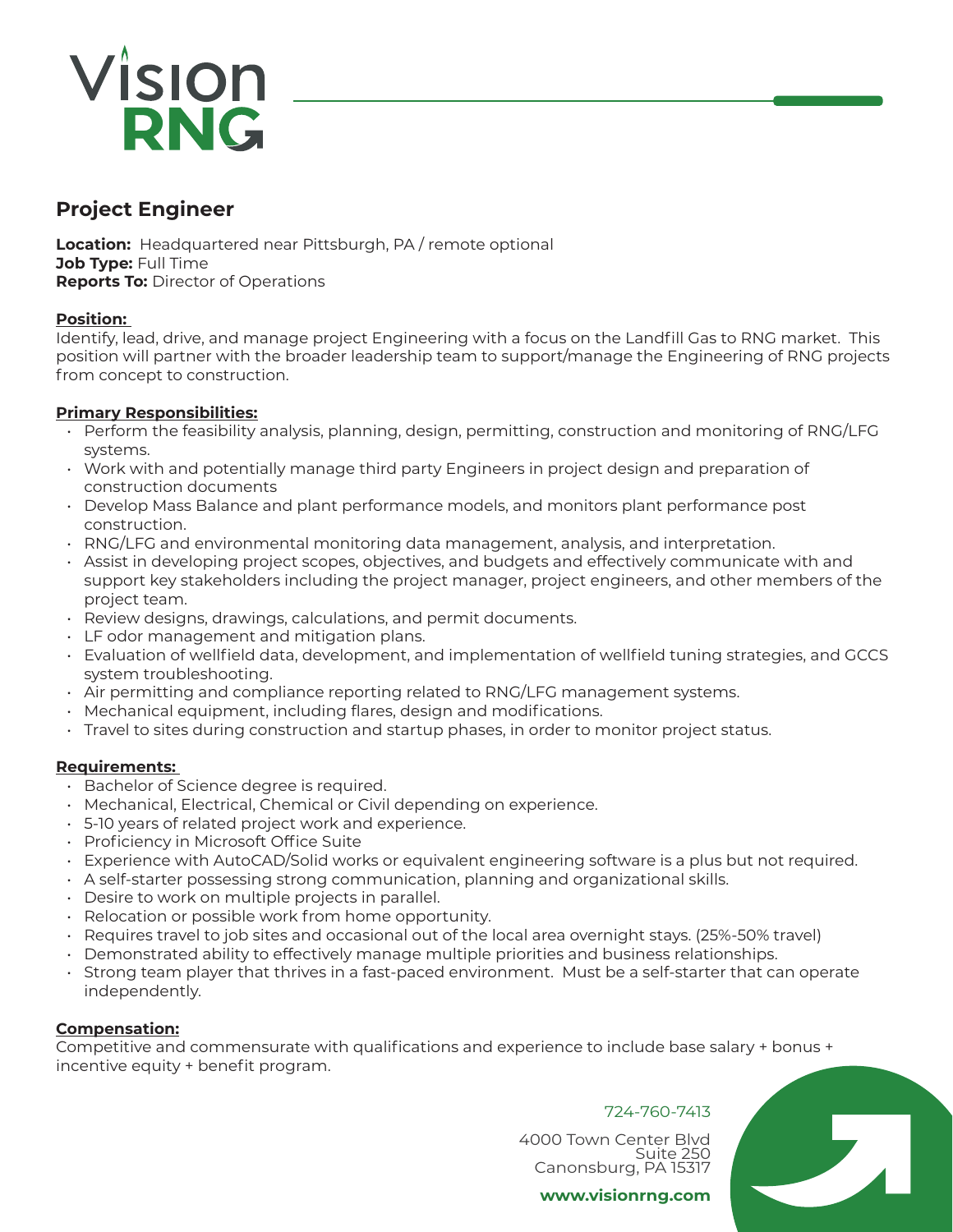# Vision **RNG**

# **Project Engineer**

**Location:** Headquartered near Pittsburgh, PA / remote optional **Job Type:** Full Time **Reports To:** Director of Operations

# **Position:**

Identify, lead, drive, and manage project Engineering with a focus on the Landfill Gas to RNG market. This position will partner with the broader leadership team to support/manage the Engineering of RNG projects from concept to construction.

# **Primary Responsibilities:**

- Perform the feasibility analysis, planning, design, permitting, construction and monitoring of RNG/LFG systems.
- Work with and potentially manage third party Engineers in project design and preparation of construction documents
- Develop Mass Balance and plant performance models, and monitors plant performance post construction.
- RNG/LFG and environmental monitoring data management, analysis, and interpretation.
- Assist in developing project scopes, objectives, and budgets and effectively communicate with and support key stakeholders including the project manager, project engineers, and other members of the project team.
- Review designs, drawings, calculations, and permit documents.
- LF odor management and mitigation plans.
- Evaluation of wellfield data, development, and implementation of wellfield tuning strategies, and GCCS system troubleshooting.
- Air permitting and compliance reporting related to RNG/LFG management systems.
- Mechanical equipment, including flares, design and modifications.
- Travel to sites during construction and startup phases, in order to monitor project status.

# **Requirements:**

- Bachelor of Science degree is required.
- Mechanical, Electrical, Chemical or Civil depending on experience.
- 5-10 years of related project work and experience.
- Proficiency in Microsoft Office Suite
- Experience with AutoCAD/Solid works or equivalent engineering software is a plus but not required.
- A self-starter possessing strong communication, planning and organizational skills.
- Desire to work on multiple projects in parallel.
- Relocation or possible work from home opportunity.
- Requires travel to job sites and occasional out of the local area overnight stays. (25%-50% travel)
- Demonstrated ability to effectively manage multiple priorities and business relationships.
- Strong team player that thrives in a fast-paced environment. Must be a self-starter that can operate independently.

# **Compensation:**

Competitive and commensurate with qualifications and experience to include base salary + bonus + incentive equity + benefit program.

# 724-760-7413

 $\mathbf{L}$ 

4000 Town Center Blvd Suite 250 Canonsburg, PA 15317